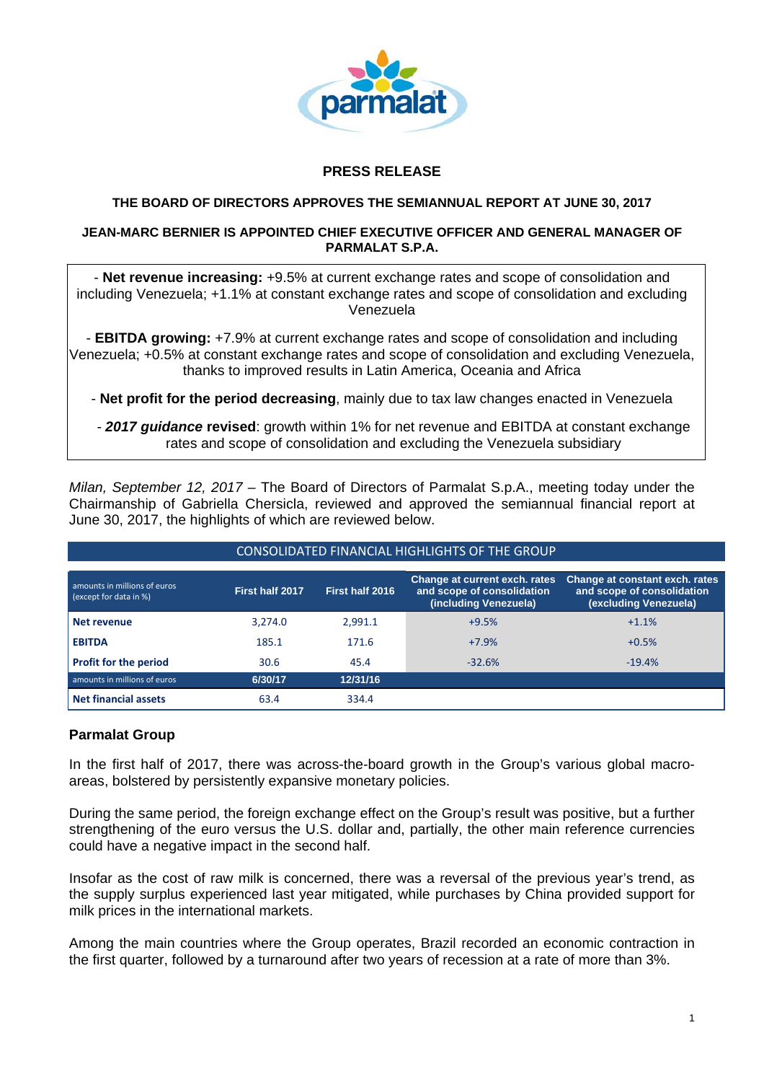

# **PRESS RELEASE**

#### **THE BOARD OF DIRECTORS APPROVES THE SEMIANNUAL REPORT AT JUNE 30, 2017**

#### **JEAN-MARC BERNIER IS APPOINTED CHIEF EXECUTIVE OFFICER AND GENERAL MANAGER OF PARMALAT S.P.A.**

- **Net revenue increasing:** +9.5% at current exchange rates and scope of consolidation and including Venezuela; +1.1% at constant exchange rates and scope of consolidation and excluding Venezuela

- **EBITDA growing:** +7.9% at current exchange rates and scope of consolidation and including Venezuela; +0.5% at constant exchange rates and scope of consolidation and excluding Venezuela, thanks to improved results in Latin America, Oceania and Africa

- **Net profit for the period decreasing**, mainly due to tax law changes enacted in Venezuela

*- 2017 guidance* **revised**: growth within 1% for net revenue and EBITDA at constant exchange rates and scope of consolidation and excluding the Venezuela subsidiary

*Milan, September 12, 2017 –* The Board of Directors of Parmalat S.p.A., meeting today under the Chairmanship of Gabriella Chersicla, reviewed and approved the semiannual financial report at June 30, 2017, the highlights of which are reviewed below.

| CONSOLIDATED FINANCIAL HIGHLIGHTS OF THE GROUP         |                 |                 |                                                                                      |                                                                                       |  |  |
|--------------------------------------------------------|-----------------|-----------------|--------------------------------------------------------------------------------------|---------------------------------------------------------------------------------------|--|--|
| amounts in millions of euros<br>(except for data in %) | First half 2017 | First half 2016 | Change at current exch. rates<br>and scope of consolidation<br>(including Venezuela) | Change at constant exch. rates<br>and scope of consolidation<br>(excluding Venezuela) |  |  |
| Net revenue                                            | 3.274.0         | 2,991.1         | $+9.5%$                                                                              | $+1.1%$                                                                               |  |  |
| <b>EBITDA</b>                                          | 185.1           | 171.6           | $+7.9%$                                                                              | $+0.5%$                                                                               |  |  |
| <b>Profit for the period</b>                           | 30.6            | 45.4            | $-32.6%$                                                                             | $-19.4%$                                                                              |  |  |
| amounts in millions of euros                           | 6/30/17         | 12/31/16        |                                                                                      |                                                                                       |  |  |
| <b>Net financial assets</b>                            | 63.4            | 334.4           |                                                                                      |                                                                                       |  |  |

# **Parmalat Group**

In the first half of 2017, there was across-the-board growth in the Group's various global macroareas, bolstered by persistently expansive monetary policies.

During the same period, the foreign exchange effect on the Group's result was positive, but a further strengthening of the euro versus the U.S. dollar and, partially, the other main reference currencies could have a negative impact in the second half.

Insofar as the cost of raw milk is concerned, there was a reversal of the previous year's trend, as the supply surplus experienced last year mitigated, while purchases by China provided support for milk prices in the international markets.

Among the main countries where the Group operates, Brazil recorded an economic contraction in the first quarter, followed by a turnaround after two years of recession at a rate of more than 3%.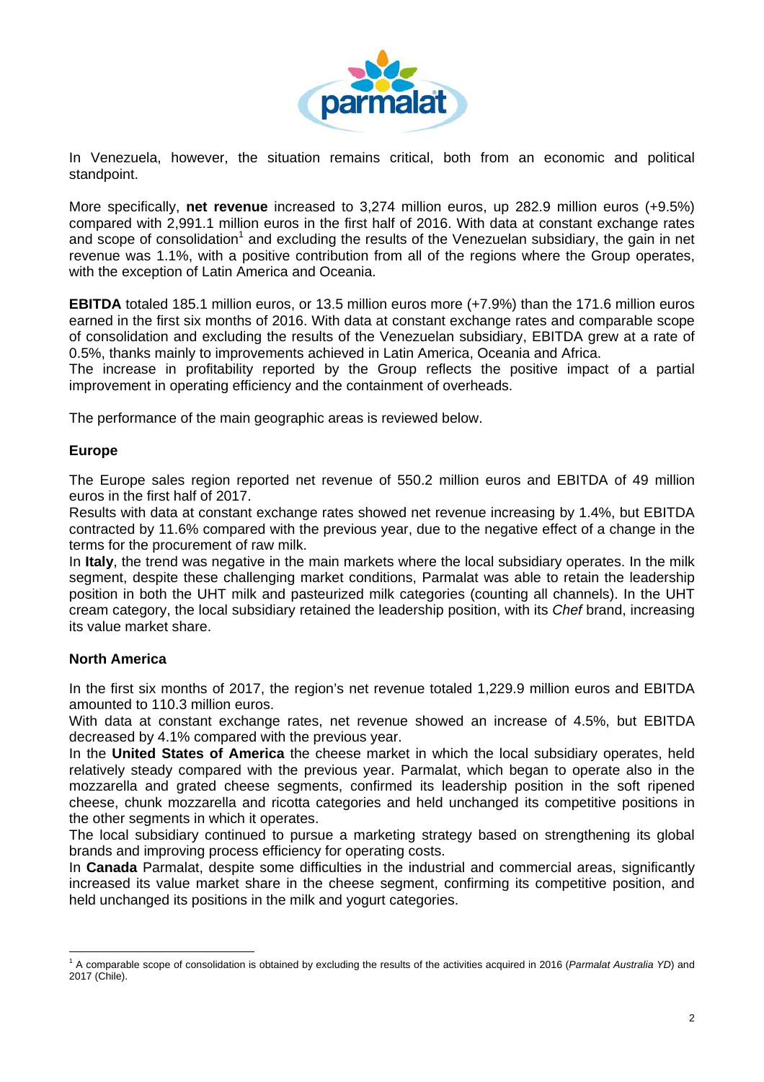

In Venezuela, however, the situation remains critical, both from an economic and political standpoint.

More specifically, **net revenue** increased to 3,274 million euros, up 282.9 million euros (+9.5%) compared with 2,991.1 million euros in the first half of 2016. With data at constant exchange rates and scope of consolidation<sup>1</sup> and excluding the results of the Venezuelan subsidiary, the gain in net revenue was 1.1%, with a positive contribution from all of the regions where the Group operates, with the exception of Latin America and Oceania.

**EBITDA** totaled 185.1 million euros, or 13.5 million euros more (+7.9%) than the 171.6 million euros earned in the first six months of 2016. With data at constant exchange rates and comparable scope of consolidation and excluding the results of the Venezuelan subsidiary, EBITDA grew at a rate of 0.5%, thanks mainly to improvements achieved in Latin America, Oceania and Africa.

The increase in profitability reported by the Group reflects the positive impact of a partial improvement in operating efficiency and the containment of overheads.

The performance of the main geographic areas is reviewed below.

### **Europe**

The Europe sales region reported net revenue of 550.2 million euros and EBITDA of 49 million euros in the first half of 2017.

Results with data at constant exchange rates showed net revenue increasing by 1.4%, but EBITDA contracted by 11.6% compared with the previous year, due to the negative effect of a change in the terms for the procurement of raw milk.

In **Italy**, the trend was negative in the main markets where the local subsidiary operates. In the milk segment, despite these challenging market conditions, Parmalat was able to retain the leadership position in both the UHT milk and pasteurized milk categories (counting all channels). In the UHT cream category, the local subsidiary retained the leadership position, with its *Chef* brand, increasing its value market share.

# **North America**

In the first six months of 2017, the region's net revenue totaled 1,229.9 million euros and EBITDA amounted to 110.3 million euros.

With data at constant exchange rates, net revenue showed an increase of 4.5%, but EBITDA decreased by 4.1% compared with the previous year.

In the **United States of America** the cheese market in which the local subsidiary operates, held relatively steady compared with the previous year. Parmalat, which began to operate also in the mozzarella and grated cheese segments, confirmed its leadership position in the soft ripened cheese, chunk mozzarella and ricotta categories and held unchanged its competitive positions in the other segments in which it operates.

The local subsidiary continued to pursue a marketing strategy based on strengthening its global brands and improving process efficiency for operating costs.

In **Canada** Parmalat, despite some difficulties in the industrial and commercial areas, significantly increased its value market share in the cheese segment, confirming its competitive position, and held unchanged its positions in the milk and yogurt categories.

j. <sup>1</sup> A comparable scope of consolidation is obtained by excluding the results of the activities acquired in 2016 (Parmalat Australia YD) and 2017 (Chile).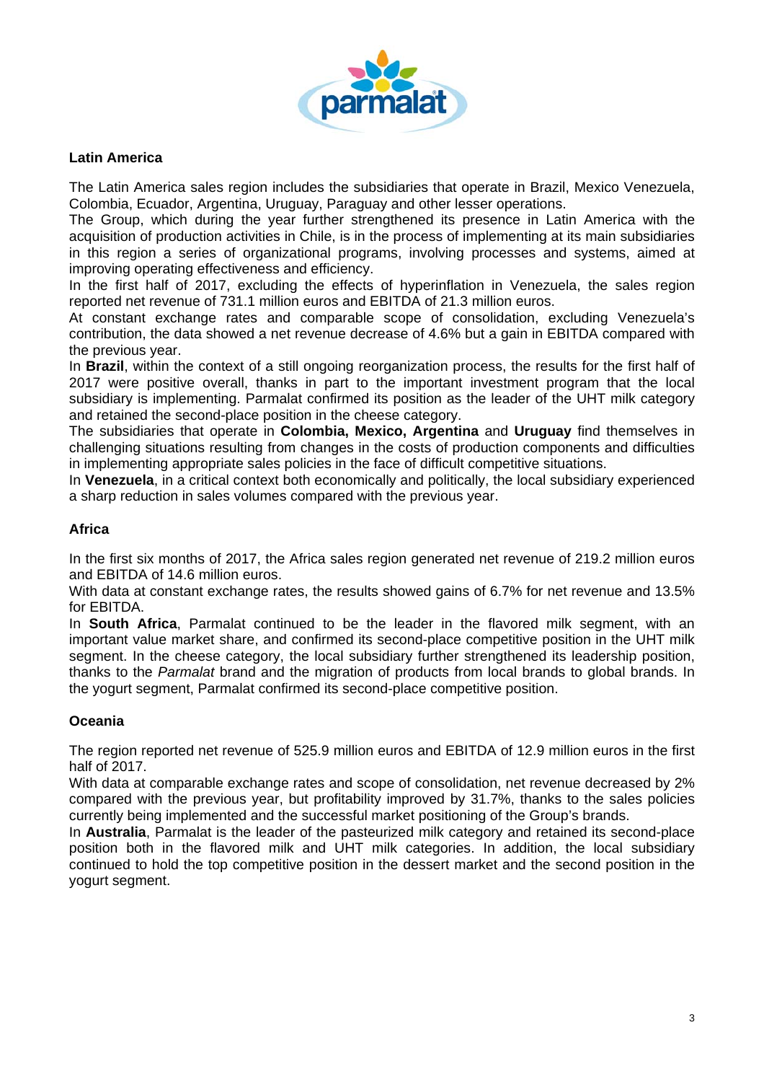

# **Latin America**

The Latin America sales region includes the subsidiaries that operate in Brazil, Mexico Venezuela, Colombia, Ecuador, Argentina, Uruguay, Paraguay and other lesser operations.

The Group, which during the year further strengthened its presence in Latin America with the acquisition of production activities in Chile, is in the process of implementing at its main subsidiaries in this region a series of organizational programs, involving processes and systems, aimed at improving operating effectiveness and efficiency.

In the first half of 2017, excluding the effects of hyperinflation in Venezuela, the sales region reported net revenue of 731.1 million euros and EBITDA of 21.3 million euros.

At constant exchange rates and comparable scope of consolidation, excluding Venezuela's contribution, the data showed a net revenue decrease of 4.6% but a gain in EBITDA compared with the previous year.

In **Brazil**, within the context of a still ongoing reorganization process, the results for the first half of 2017 were positive overall, thanks in part to the important investment program that the local subsidiary is implementing. Parmalat confirmed its position as the leader of the UHT milk category and retained the second-place position in the cheese category.

The subsidiaries that operate in **Colombia, Mexico, Argentina** and **Uruguay** find themselves in challenging situations resulting from changes in the costs of production components and difficulties in implementing appropriate sales policies in the face of difficult competitive situations.

In **Venezuela**, in a critical context both economically and politically, the local subsidiary experienced a sharp reduction in sales volumes compared with the previous year.

# **Africa**

In the first six months of 2017, the Africa sales region generated net revenue of 219.2 million euros and EBITDA of 14.6 million euros.

With data at constant exchange rates, the results showed gains of 6.7% for net revenue and 13.5% for EBITDA.

In **South Africa**, Parmalat continued to be the leader in the flavored milk segment, with an important value market share, and confirmed its second-place competitive position in the UHT milk segment. In the cheese category, the local subsidiary further strengthened its leadership position, thanks to the *Parmalat* brand and the migration of products from local brands to global brands. In the yogurt segment, Parmalat confirmed its second-place competitive position.

# **Oceania**

The region reported net revenue of 525.9 million euros and EBITDA of 12.9 million euros in the first half of 2017.

With data at comparable exchange rates and scope of consolidation, net revenue decreased by 2% compared with the previous year, but profitability improved by 31.7%, thanks to the sales policies currently being implemented and the successful market positioning of the Group's brands.

In **Australia**, Parmalat is the leader of the pasteurized milk category and retained its second-place position both in the flavored milk and UHT milk categories. In addition, the local subsidiary continued to hold the top competitive position in the dessert market and the second position in the yogurt segment.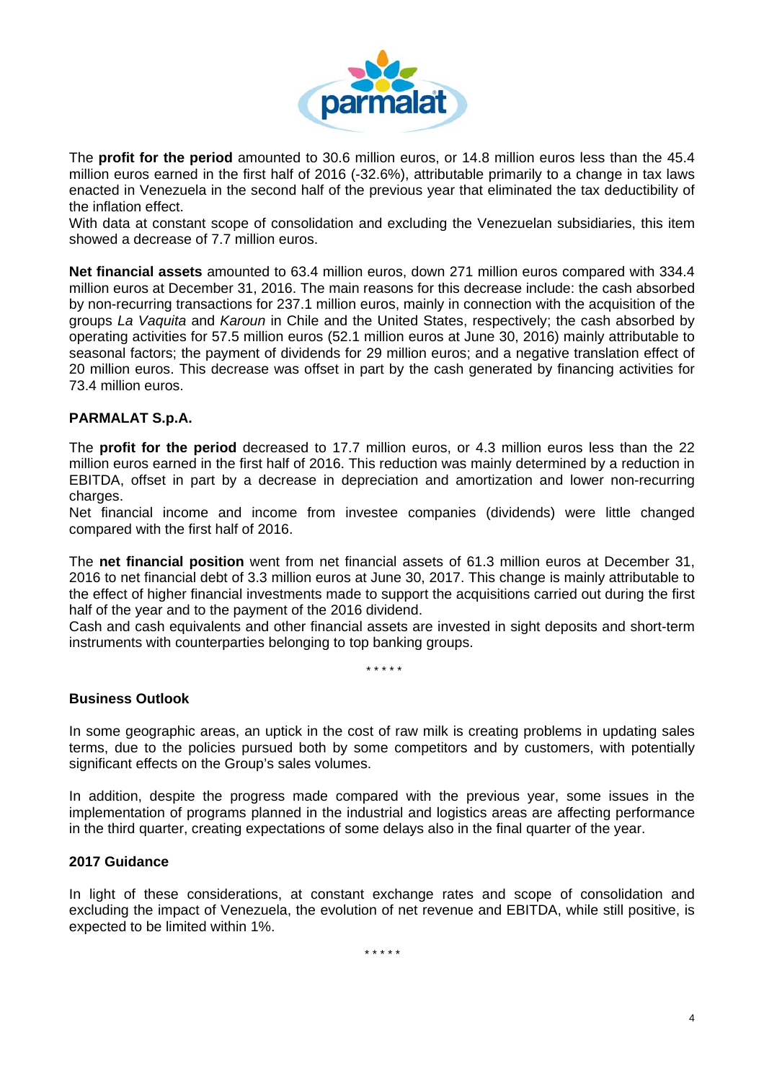

The **profit for the period** amounted to 30.6 million euros, or 14.8 million euros less than the 45.4 million euros earned in the first half of 2016 (-32.6%), attributable primarily to a change in tax laws enacted in Venezuela in the second half of the previous year that eliminated the tax deductibility of the inflation effect.

With data at constant scope of consolidation and excluding the Venezuelan subsidiaries, this item showed a decrease of 7.7 million euros.

**Net financial assets** amounted to 63.4 million euros, down 271 million euros compared with 334.4 million euros at December 31, 2016. The main reasons for this decrease include: the cash absorbed by non-recurring transactions for 237.1 million euros, mainly in connection with the acquisition of the groups *La Vaquita* and *Karoun* in Chile and the United States, respectively; the cash absorbed by operating activities for 57.5 million euros (52.1 million euros at June 30, 2016) mainly attributable to seasonal factors; the payment of dividends for 29 million euros; and a negative translation effect of 20 million euros. This decrease was offset in part by the cash generated by financing activities for 73.4 million euros.

# **PARMALAT S.p.A.**

The **profit for the period** decreased to 17.7 million euros, or 4.3 million euros less than the 22 million euros earned in the first half of 2016. This reduction was mainly determined by a reduction in EBITDA, offset in part by a decrease in depreciation and amortization and lower non-recurring charges.

Net financial income and income from investee companies (dividends) were little changed compared with the first half of 2016.

The **net financial position** went from net financial assets of 61.3 million euros at December 31, 2016 to net financial debt of 3.3 million euros at June 30, 2017. This change is mainly attributable to the effect of higher financial investments made to support the acquisitions carried out during the first half of the year and to the payment of the 2016 dividend.

Cash and cash equivalents and other financial assets are invested in sight deposits and short-term instruments with counterparties belonging to top banking groups.

 *\* \* \* \* \** 

# **Business Outlook**

In some geographic areas, an uptick in the cost of raw milk is creating problems in updating sales terms, due to the policies pursued both by some competitors and by customers, with potentially significant effects on the Group's sales volumes.

In addition, despite the progress made compared with the previous year, some issues in the implementation of programs planned in the industrial and logistics areas are affecting performance in the third quarter, creating expectations of some delays also in the final quarter of the year.

#### **2017 Guidance**

In light of these considerations, at constant exchange rates and scope of consolidation and excluding the impact of Venezuela, the evolution of net revenue and EBITDA, while still positive, is expected to be limited within 1%.

*\* \* \* \* \**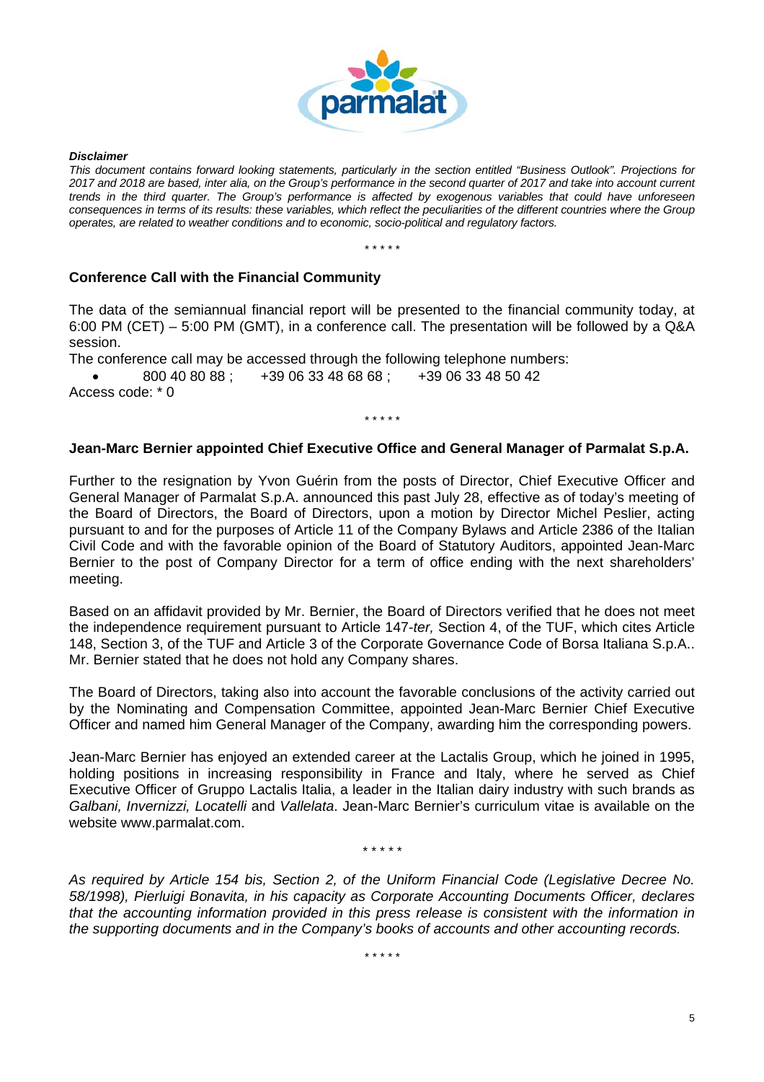

*Disclaimer* 

*This document contains forward looking statements, particularly in the section entitled "Business Outlook". Projections for 2017 and 2018 are based, inter alia, on the Group's performance in the second quarter of 2017 and take into account current trends in the third quarter. The Group's performance is affected by exogenous variables that could have unforeseen consequences in terms of its results: these variables, which reflect the peculiarities of the different countries where the Group operates, are related to weather conditions and to economic, socio-political and regulatory factors.* 

*\* \* \* \* \** 

# **Conference Call with the Financial Community**

The data of the semiannual financial report will be presented to the financial community today, at 6:00 PM (CET) – 5:00 PM (GMT), in a conference call. The presentation will be followed by a Q&A session.

The conference call may be accessed through the following telephone numbers:

 800 40 80 88 ; +39 06 33 48 68 68 ; +39 06 33 48 50 42 Access code: \* 0

# **Jean-Marc Bernier appointed Chief Executive Office and General Manager of Parmalat S.p.A.**

*\* \* \* \* \** 

Further to the resignation by Yvon Guérin from the posts of Director, Chief Executive Officer and General Manager of Parmalat S.p.A. announced this past July 28, effective as of today's meeting of the Board of Directors, the Board of Directors, upon a motion by Director Michel Peslier, acting pursuant to and for the purposes of Article 11 of the Company Bylaws and Article 2386 of the Italian Civil Code and with the favorable opinion of the Board of Statutory Auditors, appointed Jean-Marc Bernier to the post of Company Director for a term of office ending with the next shareholders' meeting.

Based on an affidavit provided by Mr. Bernier, the Board of Directors verified that he does not meet the independence requirement pursuant to Article 147-*ter,* Section 4, of the TUF, which cites Article 148, Section 3, of the TUF and Article 3 of the Corporate Governance Code of Borsa Italiana S.p.A.. Mr. Bernier stated that he does not hold any Company shares.

The Board of Directors, taking also into account the favorable conclusions of the activity carried out by the Nominating and Compensation Committee, appointed Jean-Marc Bernier Chief Executive Officer and named him General Manager of the Company, awarding him the corresponding powers.

Jean-Marc Bernier has enjoyed an extended career at the Lactalis Group, which he joined in 1995, holding positions in increasing responsibility in France and Italy, where he served as Chief Executive Officer of Gruppo Lactalis Italia, a leader in the Italian dairy industry with such brands as *Galbani, Invernizzi, Locatelli* and *Vallelata*. Jean-Marc Bernier's curriculum vitae is available on the website www.parmalat.com.

*\* \* \* \* \** 

*As required by Article 154 bis, Section 2, of the Uniform Financial Code (Legislative Decree No. 58/1998), Pierluigi Bonavita, in his capacity as Corporate Accounting Documents Officer, declares that the accounting information provided in this press release is consistent with the information in the supporting documents and in the Company's books of accounts and other accounting records.* 

*\* \* \* \* \**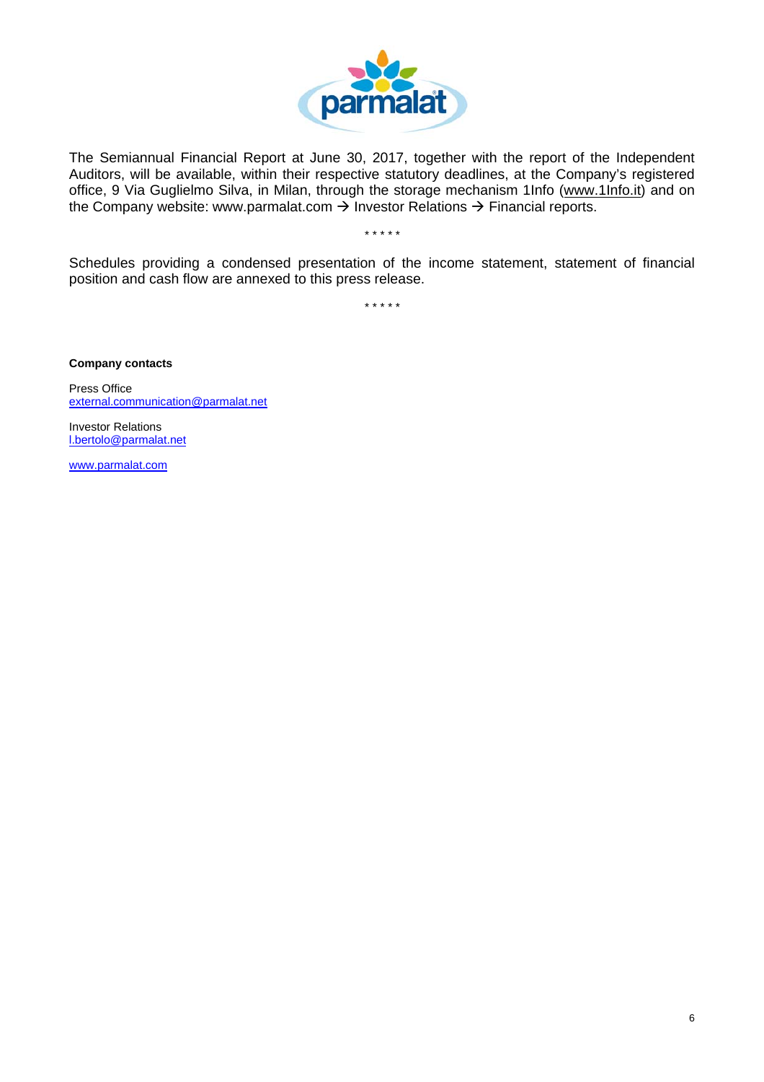

The Semiannual Financial Report at June 30, 2017, together with the report of the Independent Auditors, will be available, within their respective statutory deadlines, at the Company's registered office, 9 Via Guglielmo Silva, in Milan, through the storage mechanism 1Info (www.1Info.it) and on the Company website: www.parmalat.com  $\rightarrow$  Investor Relations  $\rightarrow$  Financial reports.

*\* \* \* \* \** 

Schedules providing a condensed presentation of the income statement, statement of financial position and cash flow are annexed to this press release.

*\* \* \* \* \** 

**Company contacts** 

Press Office external.communication@parmalat.net

Investor Relations l.bertolo@parmalat.net

www.parmalat.com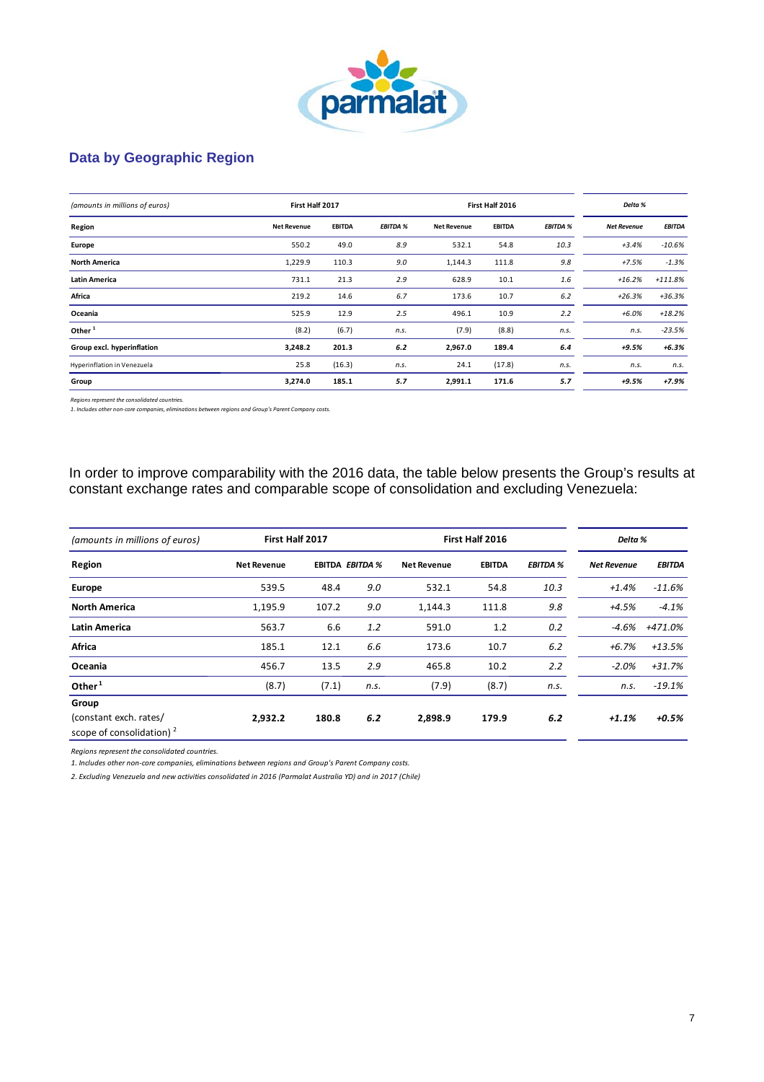

# **Data by Geographic Region**

| (amounts in millions of euros) | First Half 2017    |               |                 |                    | First Half 2016 |                 | Delta %            |               |
|--------------------------------|--------------------|---------------|-----------------|--------------------|-----------------|-----------------|--------------------|---------------|
| Region                         | <b>Net Revenue</b> | <b>EBITDA</b> | <b>EBITDA %</b> | <b>Net Revenue</b> | <b>EBITDA</b>   | <b>EBITDA %</b> | <b>Net Revenue</b> | <b>EBITDA</b> |
| Europe                         | 550.2              | 49.0          | 8.9             | 532.1              | 54.8            | 10.3            | $+3.4%$            | $-10.6%$      |
| <b>North America</b>           | 1,229.9            | 110.3         | 9.0             | 1,144.3            | 111.8           | 9.8             | $+7.5%$            | $-1.3%$       |
| <b>Latin America</b>           | 731.1              | 21.3          | 2.9             | 628.9              | 10.1            | 1.6             | $+16.2%$           | $+111.8%$     |
| Africa                         | 219.2              | 14.6          | 6.7             | 173.6              | 10.7            | 6.2             | $+26.3%$           | $+36.3%$      |
| Oceania                        | 525.9              | 12.9          | 2.5             | 496.1              | 10.9            | 2.2             | $+6.0%$            | $+18.2%$      |
| Other <sup>1</sup>             | (8.2)              | (6.7)         | n.s.            | (7.9)              | (8.8)           | n.s.            | n.s.               | $-23.5%$      |
| Group excl. hyperinflation     | 3,248.2            | 201.3         | 6.2             | 2,967.0            | 189.4           | 6.4             | +9.5%              | $+6.3%$       |
| Hyperinflation in Venezuela    | 25.8               | (16.3)        | n.s.            | 24.1               | (17.8)          | n.s.            | n.s.               | n.s.          |
| Group                          | 3,274.0            | 185.1         | 5.7             | 2,991.1            | 171.6           | 5.7             | +9.5%              | $+7.9%$       |

*Regions represent the consolidated countries.*

*1. Includes other non‐core companies, eliminations between regions and Group's Parent Company costs.*

In order to improve comparability with the 2016 data, the table below presents the Group's results at constant exchange rates and comparable scope of consolidation and excluding Venezuela:

| (amounts in millions of euros)                        | First Half 2017    |       | First Half 2016        |                    |               |                 | Delta %            |               |
|-------------------------------------------------------|--------------------|-------|------------------------|--------------------|---------------|-----------------|--------------------|---------------|
| Region                                                | <b>Net Revenue</b> |       | <b>EBITDA EBITDA %</b> | <b>Net Revenue</b> | <b>EBITDA</b> | <b>EBITDA %</b> | <b>Net Revenue</b> | <b>EBITDA</b> |
| Europe                                                | 539.5              | 48.4  | 9.0                    | 532.1              | 54.8          | 10.3            | $+1.4%$            | $-11.6%$      |
| <b>North America</b>                                  | 1,195.9            | 107.2 | 9.0                    | 1,144.3            | 111.8         | 9.8             | +4.5%              | $-4.1%$       |
| Latin America                                         | 563.7              | 6.6   | 1.2                    | 591.0              | 1.2           | 0.2             | $-4.6%$            | +471.0%       |
| <b>Africa</b>                                         | 185.1              | 12.1  | 6.6                    | 173.6              | 10.7          | 6.2             | $+6.7%$            | $+13.5%$      |
| Oceania                                               | 456.7              | 13.5  | 2.9                    | 465.8              | 10.2          | 2.2             | $-2.0%$            | $+31.7%$      |
| Other <sup>1</sup>                                    | (8.7)              | (7.1) | n.s.                   | (7.9)              | (8.7)         | n.s.            | n.s.               | $-19.1%$      |
| Group                                                 |                    |       |                        |                    |               |                 |                    |               |
| (constant exch. rates/<br>scope of consolidation) $2$ | 2,932.2            | 180.8 | 6.2                    | 2,898.9            | 179.9         | 6.2             | $+1.1%$            | $+0.5%$       |

*Regions represent the consolidated countries.*

*1. Includes other non‐core companies, eliminations between regions and Group's Parent Company costs.*

*2. Excluding Venezuela and new activities consolidated in 2016 (Parmalat Australia YD) and in 2017 (Chile)*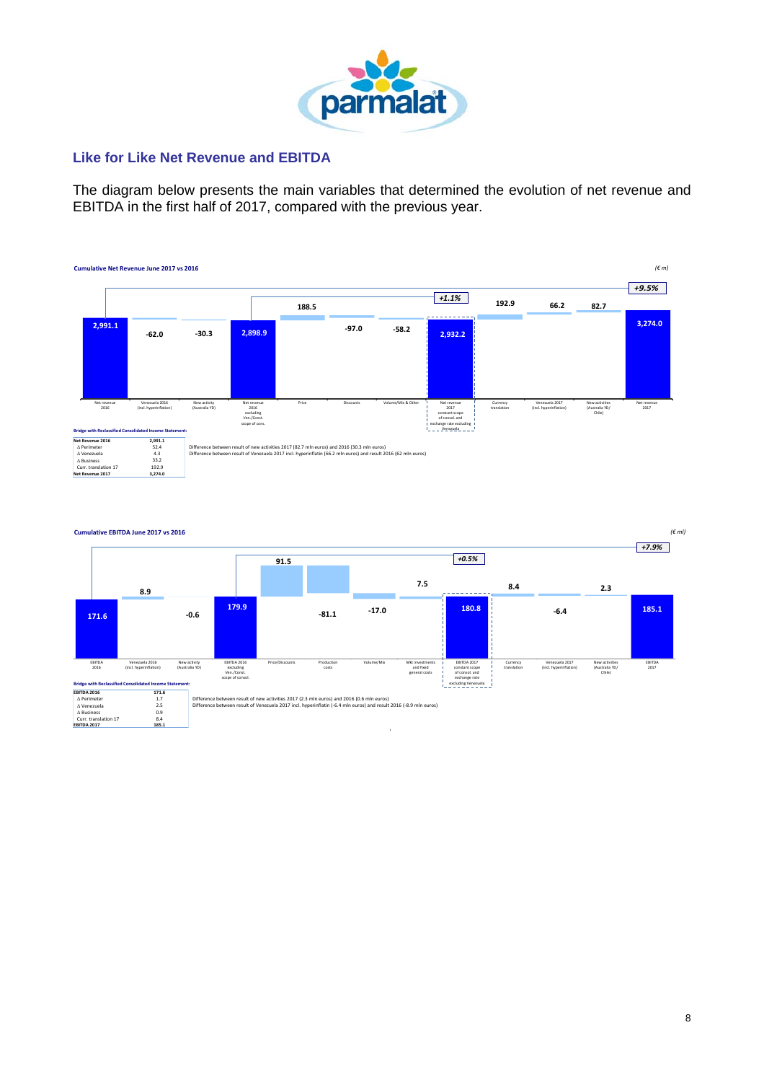

# **Like for Like Net Revenue and EBITDA**

The diagram below presents the main variables that determined the evolution of net revenue and EBITDA in the first half of 2017, compared with the previous year.

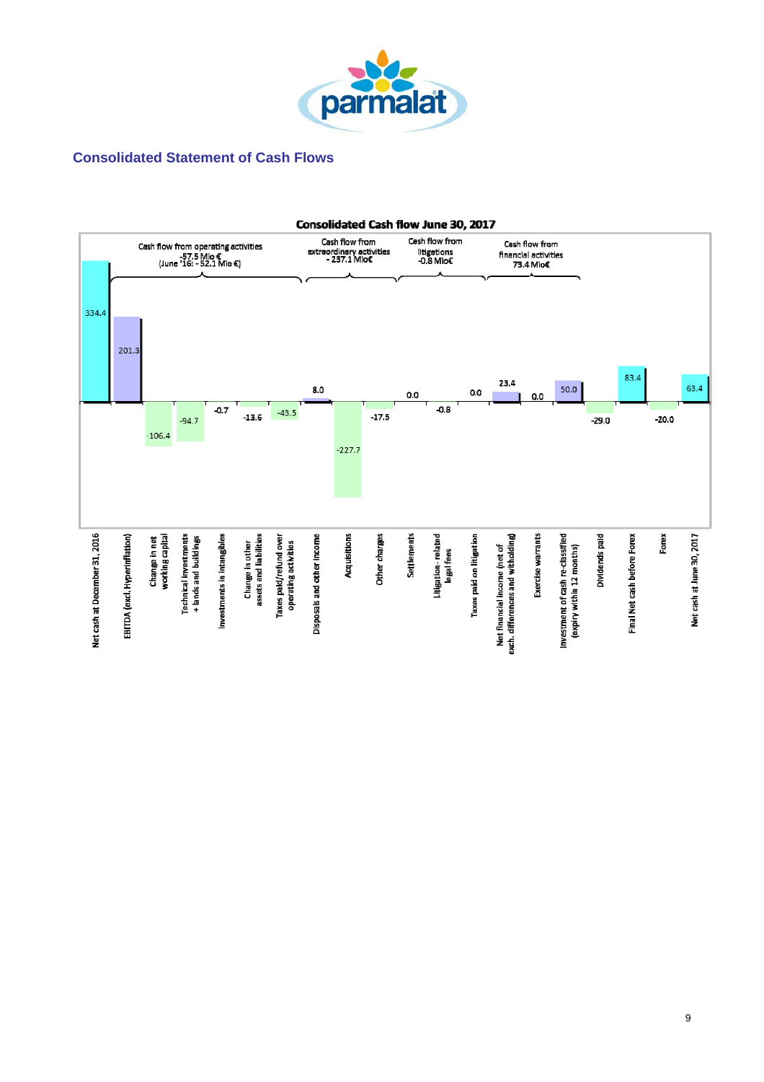

# **Consolidated Statement of Cash Flows**

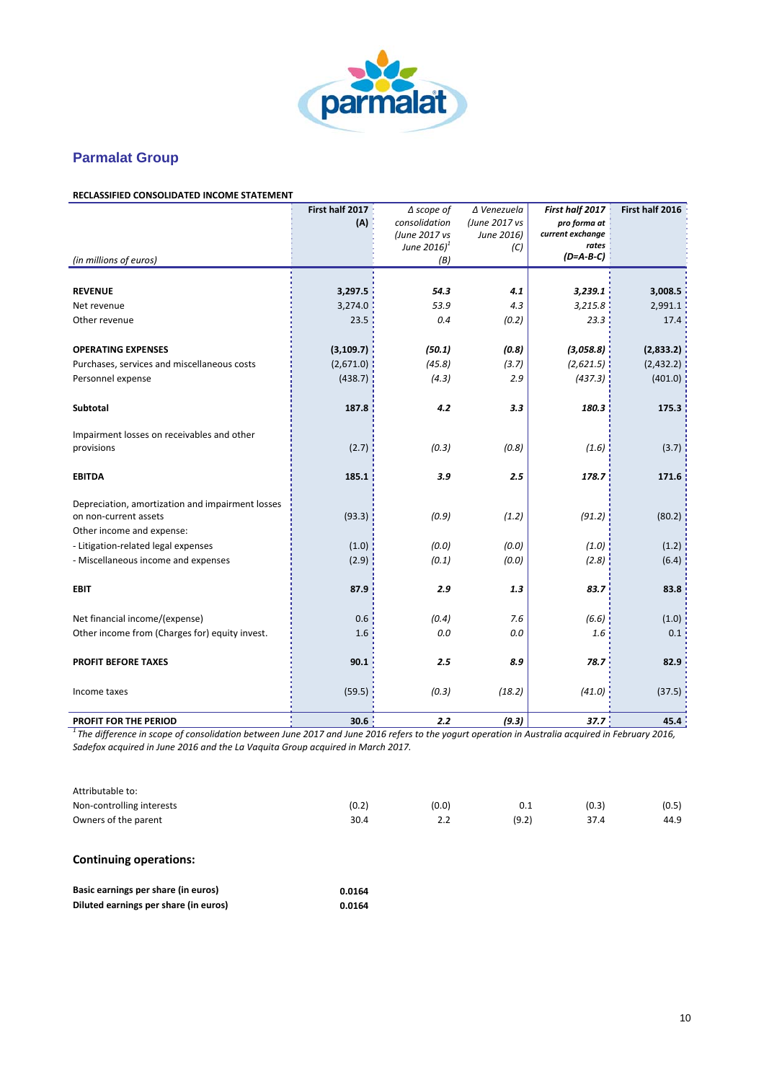

# **Parmalat Group**

#### **RECLASSIFIED CONSOLIDATED INCOME STATEMENT**

|                                                  | First half 2017<br>(A) | $\Delta$ scope of<br>consolidation | ∆ Venezuela<br>(June 2017 vs | First half 2017<br>pro forma at | First half 2016 |
|--------------------------------------------------|------------------------|------------------------------------|------------------------------|---------------------------------|-----------------|
|                                                  |                        | (June 2017 vs                      | June 2016)                   | current exchange                |                 |
|                                                  |                        | June $2016$ <sup>1</sup>           | (C)                          | rates                           |                 |
| (in millions of euros)                           |                        | (B)                                |                              | $(D=A-B-C)$                     |                 |
|                                                  |                        |                                    |                              |                                 |                 |
| <b>REVENUE</b>                                   | 3,297.5                | 54.3                               | 4.1                          | 3,239.1                         | 3,008.5         |
| Net revenue                                      | 3,274.0                | 53.9                               | 4.3                          | 3,215.8                         | 2,991.1         |
| Other revenue                                    | 23.5                   | 0.4                                | (0.2)                        | 23.3                            | 17.4            |
| <b>OPERATING EXPENSES</b>                        | (3, 109.7)             | (50.1)                             | (0.8)                        | (3,058.8)                       | (2,833.2)       |
| Purchases, services and miscellaneous costs      | (2,671.0)              | (45.8)                             | (3.7)                        | (2,621.5)                       | (2,432.2)       |
| Personnel expense                                | (438.7)                | (4.3)                              | 2.9                          | (437.3)                         | (401.0)         |
|                                                  |                        |                                    |                              |                                 |                 |
| Subtotal                                         | 187.8                  | 4.2                                | 3.3                          | 180.3                           | 175.3           |
| Impairment losses on receivables and other       |                        |                                    |                              |                                 |                 |
| provisions                                       | (2.7)                  | (0.3)                              | (0.8)                        | (1.6)                           | (3.7)           |
| <b>EBITDA</b>                                    | 185.1                  | 3.9                                | 2.5                          | 178.7                           | 171.6           |
| Depreciation, amortization and impairment losses |                        |                                    |                              |                                 |                 |
| on non-current assets                            | (93.3)                 | (0.9)                              | (1.2)                        | (91.2)                          | (80.2)          |
| Other income and expense:                        |                        |                                    |                              |                                 |                 |
| - Litigation-related legal expenses              | (1.0)                  | (0.0)                              | (0.0)                        | (1.0)                           | (1.2)           |
| - Miscellaneous income and expenses              | (2.9)                  | (0.1)                              | (0.0)                        | (2.8)                           | (6.4)           |
|                                                  |                        |                                    |                              |                                 |                 |
| <b>EBIT</b>                                      | 87.9                   | 2.9                                | 1.3                          | 83.7                            | 83.8            |
| Net financial income/(expense)                   | 0.6                    | (0.4)                              | 7.6                          | (6.6)                           | (1.0)           |
| Other income from (Charges for) equity invest.   | 1.6                    | 0.0                                | 0.0                          | 1.6                             | 0.1             |
|                                                  |                        |                                    |                              |                                 |                 |
| <b>PROFIT BEFORE TAXES</b>                       | 90.1                   | 2.5                                | 8.9                          | 78.7                            | 82.9            |
| Income taxes                                     | (59.5)                 | (0.3)                              | (18.2)                       | (41.0)                          | (37.5)          |
| PROFIT FOR THE PERIOD                            | 30 $61$                | 22                                 | (9.3)                        | 377                             | <b>45 A</b>     |

**PROFIT FOR THE PERIOD 15.4**<br><sup>1</sup> The difference in scope of consolidation between June 2017 and June 2016 refers to the yogurt operation in Australia acquired in February 2016, *Sadefox acquired in June 2016 and the La Vaquita Group acquired in March 2017.*

| Attributable to:          |       |       |       |       |       |
|---------------------------|-------|-------|-------|-------|-------|
| Non-controlling interests | (0.2) | (0.0) | 0.1   | (0.3) | (0.5) |
| Owners of the parent      | 30.4  | 2.2   | (9.2) | 37.4  | 44.9  |

#### **Continuing operations:**

| Basic earnings per share (in euros)   | 0.0164 |
|---------------------------------------|--------|
| Diluted earnings per share (in euros) | 0.0164 |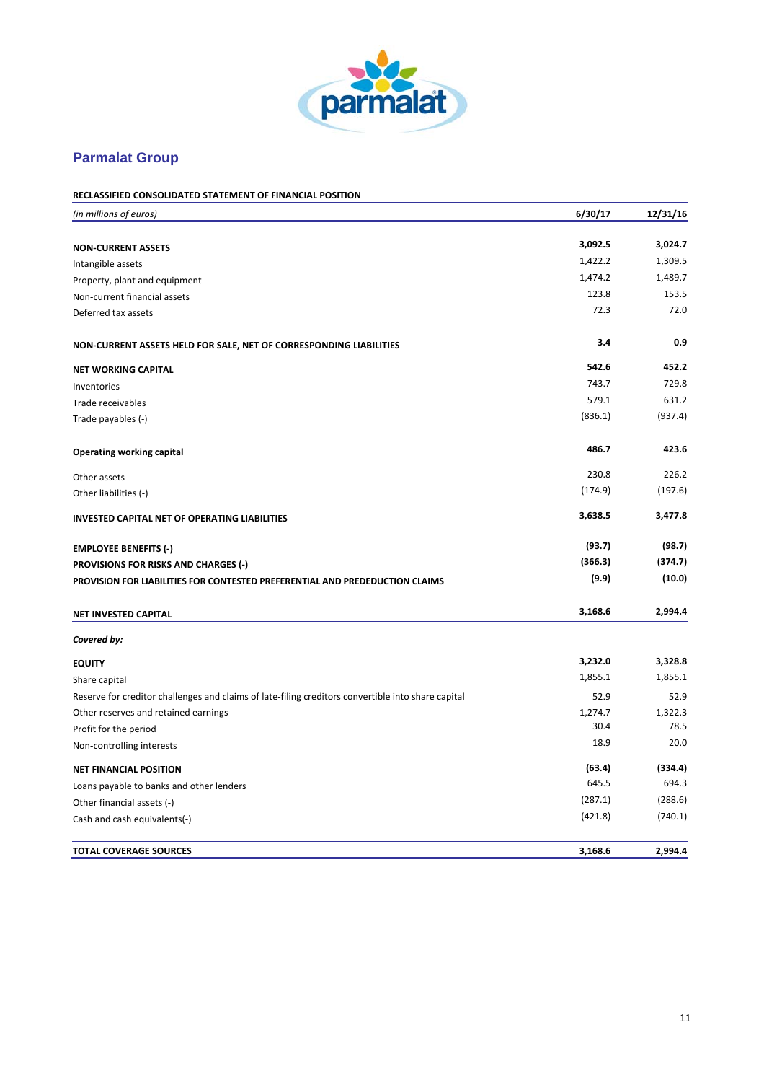

# **Parmalat Group**

| <b>RECLASSIFIED CONSOLIDATED STATEMENT OF FINANCIAL POSITION</b> |  |  |
|------------------------------------------------------------------|--|--|
|                                                                  |  |  |

| (in millions of euros)                                                                             | 6/30/17       | 12/31/16 |
|----------------------------------------------------------------------------------------------------|---------------|----------|
|                                                                                                    | 3,092.5       | 3,024.7  |
| <b>NON-CURRENT ASSETS</b>                                                                          | 1,422.2       | 1,309.5  |
| Intangible assets                                                                                  | 1,474.2       | 1,489.7  |
| Property, plant and equipment                                                                      |               | 153.5    |
| Non-current financial assets                                                                       | 123.8<br>72.3 | 72.0     |
| Deferred tax assets                                                                                |               |          |
| NON-CURRENT ASSETS HELD FOR SALE, NET OF CORRESPONDING LIABILITIES                                 | 3.4           | 0.9      |
| <b>NET WORKING CAPITAL</b>                                                                         | 542.6         | 452.2    |
| Inventories                                                                                        | 743.7         | 729.8    |
| Trade receivables                                                                                  | 579.1         | 631.2    |
| Trade payables (-)                                                                                 | (836.1)       | (937.4)  |
| Operating working capital                                                                          | 486.7         | 423.6    |
| Other assets                                                                                       | 230.8         | 226.2    |
| Other liabilities (-)                                                                              | (174.9)       | (197.6)  |
| <b>INVESTED CAPITAL NET OF OPERATING LIABILITIES</b>                                               | 3,638.5       | 3,477.8  |
| <b>EMPLOYEE BENEFITS (-)</b>                                                                       | (93.7)        | (98.7)   |
| <b>PROVISIONS FOR RISKS AND CHARGES (-)</b>                                                        | (366.3)       | (374.7)  |
| PROVISION FOR LIABILITIES FOR CONTESTED PREFERENTIAL AND PREDEDUCTION CLAIMS                       | (9.9)         | (10.0)   |
| NET INVESTED CAPITAL                                                                               | 3,168.6       | 2,994.4  |
| Covered by:                                                                                        |               |          |
| <b>EQUITY</b>                                                                                      | 3,232.0       | 3,328.8  |
| Share capital                                                                                      | 1,855.1       | 1,855.1  |
| Reserve for creditor challenges and claims of late-filing creditors convertible into share capital | 52.9          | 52.9     |
| Other reserves and retained earnings                                                               | 1,274.7       | 1,322.3  |
| Profit for the period                                                                              | 30.4          | 78.5     |
| Non-controlling interests                                                                          | 18.9          | 20.0     |
| <b>NET FINANCIAL POSITION</b>                                                                      | (63.4)        | (334.4)  |
| Loans payable to banks and other lenders                                                           | 645.5         | 694.3    |
| Other financial assets (-)                                                                         | (287.1)       | (288.6)  |
| Cash and cash equivalents(-)                                                                       | (421.8)       | (740.1)  |
| <b>TOTAL COVERAGE SOURCES</b>                                                                      | 3,168.6       | 2,994.4  |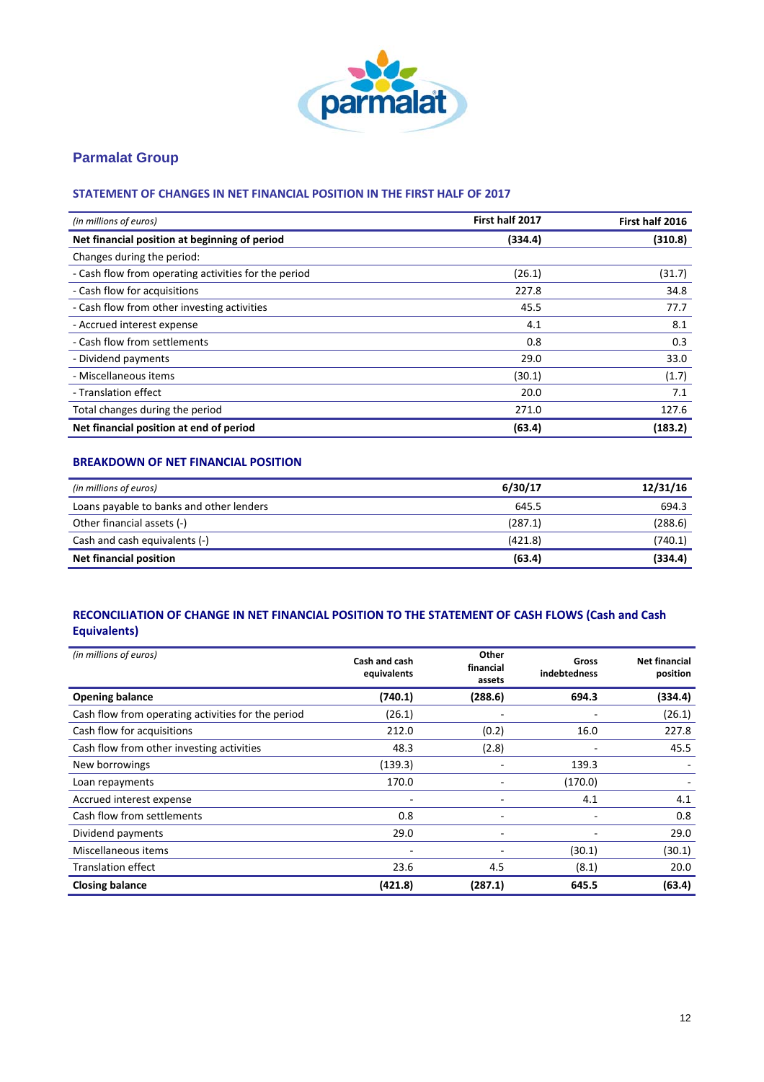

# **Parmalat Group**

### **STATEMENT OF CHANGES IN NET FINANCIAL POSITION IN THE FIRST HALF OF 2017**

| (in millions of euros)                               | First half 2017 | First half 2016 |
|------------------------------------------------------|-----------------|-----------------|
| Net financial position at beginning of period        | (334.4)         | (310.8)         |
| Changes during the period:                           |                 |                 |
| - Cash flow from operating activities for the period | (26.1)          | (31.7)          |
| - Cash flow for acquisitions                         | 227.8           | 34.8            |
| - Cash flow from other investing activities          | 45.5            | 77.7            |
| - Accrued interest expense                           | 4.1             | 8.1             |
| - Cash flow from settlements                         | 0.8             | 0.3             |
| - Dividend payments                                  | 29.0            | 33.0            |
| - Miscellaneous items                                | (30.1)          | (1.7)           |
| - Translation effect                                 | 20.0            | 7.1             |
| Total changes during the period                      | 271.0           | 127.6           |
| Net financial position at end of period              | (63.4)          | (183.2)         |

#### **BREAKDOWN OF NET FINANCIAL POSITION**

| (in millions of euros)                   | 6/30/17 | 12/31/16 |
|------------------------------------------|---------|----------|
| Loans payable to banks and other lenders | 645.5   | 694.3    |
| Other financial assets (-)               | (287.1) | (288.6)  |
| Cash and cash equivalents (-)            | (421.8) | (740.1)  |
| <b>Net financial position</b>            | (63.4)  | (334.4)  |

### **RECONCILIATION OF CHANGE IN NET FINANCIAL POSITION TO THE STATEMENT OF CASH FLOWS (Cash and Cash Equivalents)**

| (in millions of euros)                             | Cash and cash<br>equivalents | Other<br>financial<br>assets | Gross<br>indebtedness | <b>Net financial</b><br>position |
|----------------------------------------------------|------------------------------|------------------------------|-----------------------|----------------------------------|
| <b>Opening balance</b>                             | (740.1)                      | (288.6)                      | 694.3                 | (334.4)                          |
| Cash flow from operating activities for the period | (26.1)                       |                              |                       | (26.1)                           |
| Cash flow for acquisitions                         | 212.0                        | (0.2)                        | 16.0                  | 227.8                            |
| Cash flow from other investing activities          | 48.3                         | (2.8)                        |                       | 45.5                             |
| New borrowings                                     | (139.3)                      |                              | 139.3                 |                                  |
| Loan repayments                                    | 170.0                        |                              | (170.0)               |                                  |
| Accrued interest expense                           | ۰                            |                              | 4.1                   | 4.1                              |
| Cash flow from settlements                         | 0.8                          |                              |                       | 0.8                              |
| Dividend payments                                  | 29.0                         | $\overline{\phantom{0}}$     |                       | 29.0                             |
| Miscellaneous items                                |                              |                              | (30.1)                | (30.1)                           |
| <b>Translation effect</b>                          | 23.6                         | 4.5                          | (8.1)                 | 20.0                             |
| <b>Closing balance</b>                             | (421.8)                      | (287.1)                      | 645.5                 | (63.4)                           |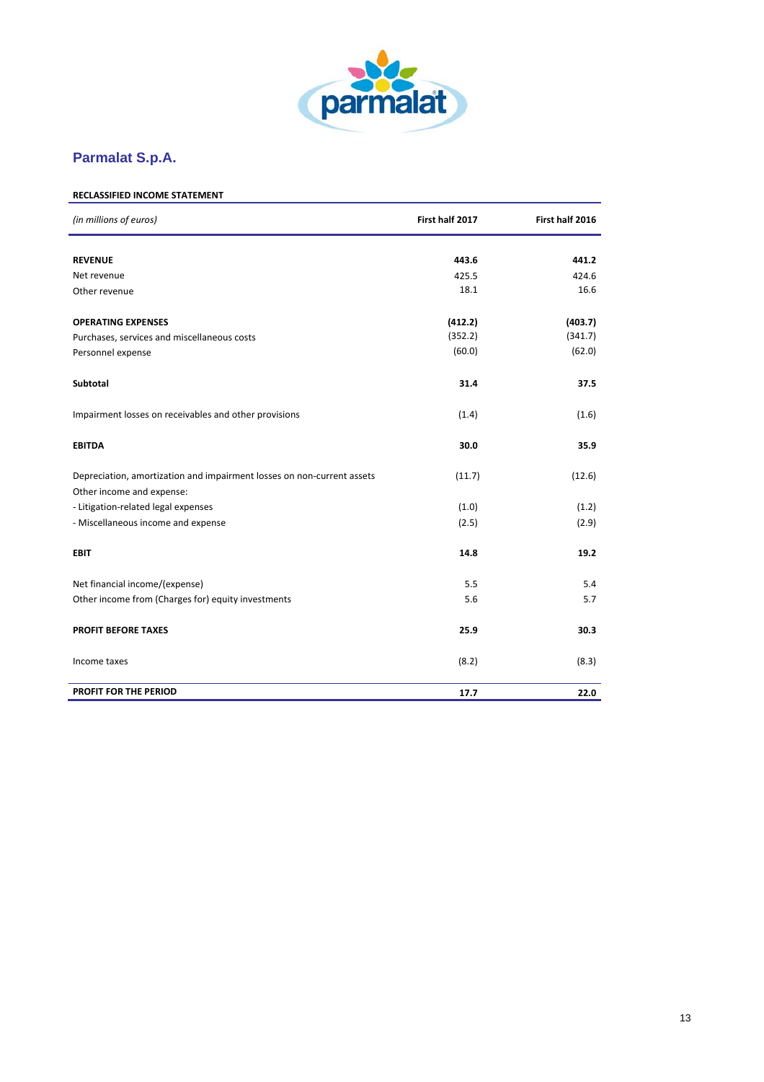

# **Parmalat S.p.A.**

# **RECLASSIFIED INCOME STATEMENT**

| (in millions of euros)                                                                              | First half 2017 | First half 2016 |
|-----------------------------------------------------------------------------------------------------|-----------------|-----------------|
| <b>REVENUE</b>                                                                                      | 443.6           | 441.2           |
| Net revenue                                                                                         | 425.5           | 424.6           |
| Other revenue                                                                                       | 18.1            | 16.6            |
|                                                                                                     |                 |                 |
| <b>OPERATING EXPENSES</b>                                                                           | (412.2)         | (403.7)         |
| Purchases, services and miscellaneous costs                                                         | (352.2)         | (341.7)         |
| Personnel expense                                                                                   | (60.0)          | (62.0)          |
| Subtotal                                                                                            | 31.4            | 37.5            |
| Impairment losses on receivables and other provisions                                               | (1.4)           | (1.6)           |
| <b>EBITDA</b>                                                                                       | 30.0            | 35.9            |
| Depreciation, amortization and impairment losses on non-current assets<br>Other income and expense: | (11.7)          | (12.6)          |
| - Litigation-related legal expenses                                                                 | (1.0)           | (1.2)           |
| - Miscellaneous income and expense                                                                  | (2.5)           | (2.9)           |
|                                                                                                     |                 |                 |
| <b>EBIT</b>                                                                                         | 14.8            | 19.2            |
| Net financial income/(expense)                                                                      | 5.5             | 5.4             |
| Other income from (Charges for) equity investments                                                  | 5.6             | 5.7             |
| <b>PROFIT BEFORE TAXES</b>                                                                          | 25.9            | 30.3            |
| Income taxes                                                                                        | (8.2)           | (8.3)           |
| PROFIT FOR THE PERIOD                                                                               | 17.7            | 22.0            |